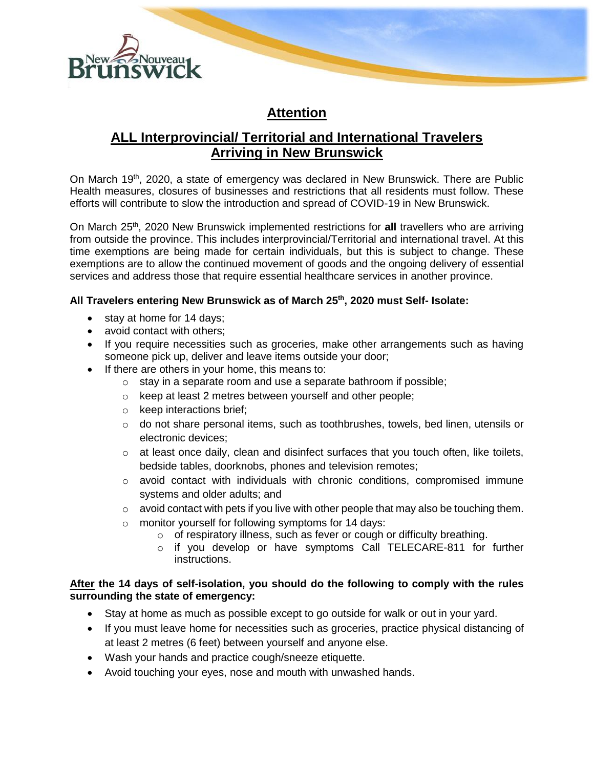

## **Attention**

# **ALL Interprovincial/ Territorial and International Travelers Arriving in New Brunswick**

On March 19<sup>th</sup>, 2020, a state of emergency was declared in New Brunswick. There are Public Health measures, closures of businesses and restrictions that all residents must follow. These efforts will contribute to slow the introduction and spread of COVID-19 in New Brunswick.

On March 25<sup>th</sup>, 2020 New Brunswick implemented restrictions for all travellers who are arriving from outside the province. This includes interprovincial/Territorial and international travel. At this time exemptions are being made for certain individuals, but this is subject to change. These exemptions are to allow the continued movement of goods and the ongoing delivery of essential services and address those that require essential healthcare services in another province.

## **All Travelers entering New Brunswick as of March 25 th , 2020 must Self- Isolate:**

- stay at home for 14 days;
- avoid contact with others;
- If you require necessities such as groceries, make other arrangements such as having someone pick up, deliver and leave items outside your door;
- If there are others in your home, this means to:
	- o stay in a separate room and use a separate bathroom if possible;
	- o keep at least 2 metres between yourself and other people;
	- o keep interactions brief;
	- $\circ$  do not share personal items, such as toothbrushes, towels, bed linen, utensils or electronic devices;
	- $\circ$  at least once daily, clean and disinfect surfaces that you touch often, like toilets, bedside tables, doorknobs, phones and television remotes;
	- o avoid contact with individuals with chronic conditions, compromised immune systems and older adults; and
	- $\circ$  avoid contact with pets if you live with other people that may also be touching them.
	- o monitor yourself for following symptoms for 14 days:
		- o of respiratory illness, such as fever or cough or difficulty breathing.
		- o if you develop or have symptoms Call TELECARE-811 for further instructions.

### **After the 14 days of self-isolation, you should do the following to comply with the rules surrounding the state of emergency:**

- Stay at home as much as possible except to go outside for walk or out in your yard.
- If you must leave home for necessities such as groceries, practice physical distancing of at least 2 metres (6 feet) between yourself and anyone else.
- Wash your hands and practice cough/sneeze etiquette.
- Avoid touching your eyes, nose and mouth with unwashed hands.